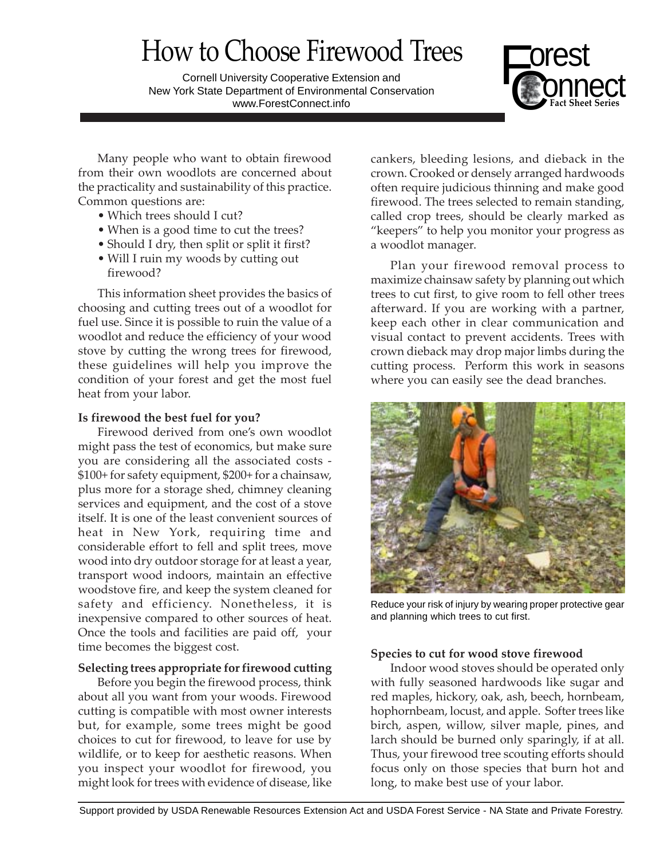# How to Choose Firewood Trees

Cornell University Cooperative Extension and New York State Department of Environmental Conservation www.ForestConnect.info



Many people who want to obtain firewood from their own woodlots are concerned about the practicality and sustainability of this practice. Common questions are:

- Which trees should I cut?
- When is a good time to cut the trees?
- Should I dry, then split or split it first?
- Will I ruin my woods by cutting out firewood?

This information sheet provides the basics of choosing and cutting trees out of a woodlot for fuel use. Since it is possible to ruin the value of a woodlot and reduce the efficiency of your wood stove by cutting the wrong trees for firewood, these guidelines will help you improve the condition of your forest and get the most fuel heat from your labor.

## **Is firewood the best fuel for you?**

Firewood derived from one's own woodlot might pass the test of economics, but make sure you are considering all the associated costs - \$100+ for safety equipment, \$200+ for a chainsaw, plus more for a storage shed, chimney cleaning services and equipment, and the cost of a stove itself. It is one of the least convenient sources of heat in New York, requiring time and considerable effort to fell and split trees, move wood into dry outdoor storage for at least a year, transport wood indoors, maintain an effective woodstove fire, and keep the system cleaned for safety and efficiency. Nonetheless, it is inexpensive compared to other sources of heat. Once the tools and facilities are paid off, your time becomes the biggest cost.

# **Selecting trees appropriate for firewood cutting**

Before you begin the firewood process, think about all you want from your woods. Firewood cutting is compatible with most owner interests but, for example, some trees might be good choices to cut for firewood, to leave for use by wildlife, or to keep for aesthetic reasons. When you inspect your woodlot for firewood, you might look for trees with evidence of disease, like

cankers, bleeding lesions, and dieback in the crown. Crooked or densely arranged hardwoods often require judicious thinning and make good firewood. The trees selected to remain standing, called crop trees, should be clearly marked as "keepers" to help you monitor your progress as a woodlot manager.

Plan your firewood removal process to maximize chainsaw safety by planning out which trees to cut first, to give room to fell other trees afterward. If you are working with a partner, keep each other in clear communication and visual contact to prevent accidents. Trees with crown dieback may drop major limbs during the cutting process. Perform this work in seasons where you can easily see the dead branches.



Reduce your risk of injury by wearing proper protective gear and planning which trees to cut first.

# **Species to cut for wood stove firewood**

Indoor wood stoves should be operated only with fully seasoned hardwoods like sugar and red maples, hickory, oak, ash, beech, hornbeam, hophornbeam, locust, and apple. Softer trees like birch, aspen, willow, silver maple, pines, and larch should be burned only sparingly, if at all. Thus, your firewood tree scouting efforts should focus only on those species that burn hot and long, to make best use of your labor.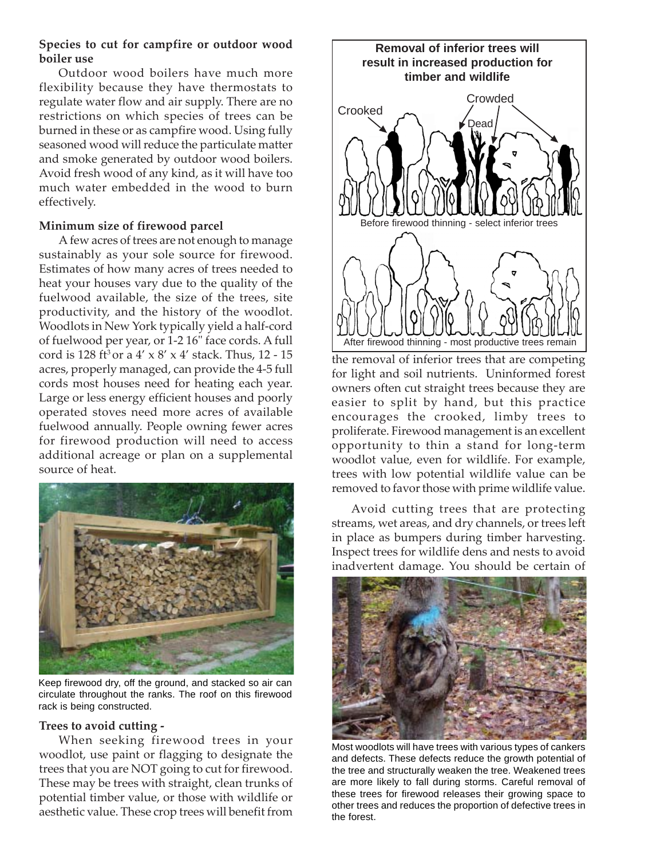# **Species to cut for campfire or outdoor wood boiler use**

Outdoor wood boilers have much more flexibility because they have thermostats to regulate water flow and air supply. There are no restrictions on which species of trees can be burned in these or as campfire wood. Using fully seasoned wood will reduce the particulate matter and smoke generated by outdoor wood boilers. Avoid fresh wood of any kind, as it will have too much water embedded in the wood to burn effectively.

# **Minimum size of firewood parcel**

A few acres of trees are not enough to manage sustainably as your sole source for firewood. Estimates of how many acres of trees needed to heat your houses vary due to the quality of the fuelwood available, the size of the trees, site productivity, and the history of the woodlot. Woodlots in New York typically yield a half-cord of fuelwood per year, or 1-2 16" face cords. A full cord is 128 ft<sup>3</sup> or a  $4' \times 8' \times 4'$  stack. Thus, 12 - 15 acres, properly managed, can provide the 4-5 full cords most houses need for heating each year. Large or less energy efficient houses and poorly operated stoves need more acres of available fuelwood annually. People owning fewer acres for firewood production will need to access additional acreage or plan on a supplemental source of heat.



Keep firewood dry, off the ground, and stacked so air can circulate throughout the ranks. The roof on this firewood rack is being constructed.

## **Trees to avoid cutting -**

When seeking firewood trees in your woodlot, use paint or flagging to designate the trees that you are NOT going to cut for firewood. These may be trees with straight, clean trunks of potential timber value, or those with wildlife or aesthetic value. These crop trees will benefit from



the removal of inferior trees that are competing for light and soil nutrients. Uninformed forest owners often cut straight trees because they are easier to split by hand, but this practice encourages the crooked, limby trees to proliferate. Firewood management is an excellent opportunity to thin a stand for long-term woodlot value, even for wildlife. For example, trees with low potential wildlife value can be removed to favor those with prime wildlife value.

Avoid cutting trees that are protecting streams, wet areas, and dry channels, or trees left in place as bumpers during timber harvesting. Inspect trees for wildlife dens and nests to avoid inadvertent damage. You should be certain of



Most woodlots will have trees with various types of cankers and defects. These defects reduce the growth potential of the tree and structurally weaken the tree. Weakened trees are more likely to fall during storms. Careful removal of these trees for firewood releases their growing space to other trees and reduces the proportion of defective trees in the forest.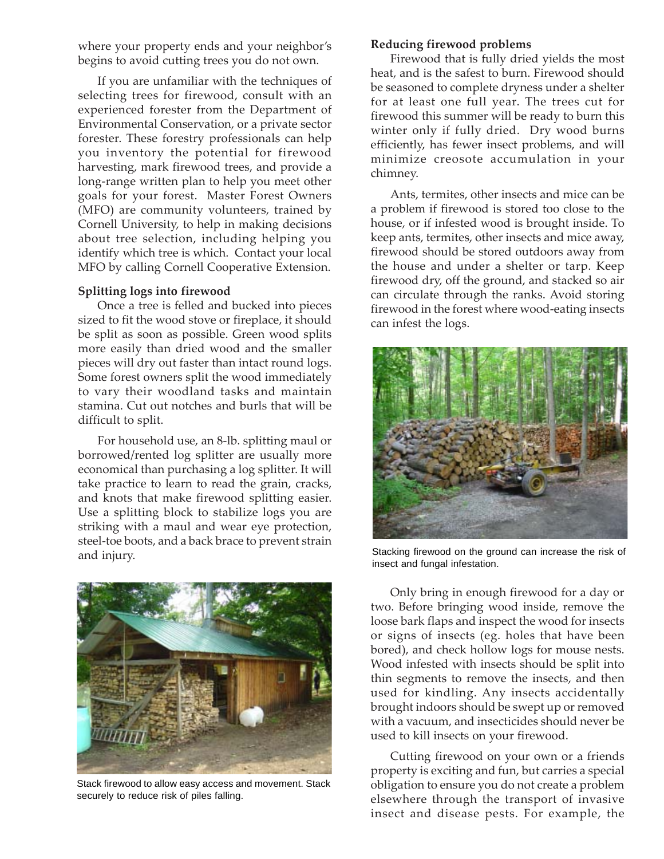where your property ends and your neighbor's begins to avoid cutting trees you do not own.

If you are unfamiliar with the techniques of selecting trees for firewood, consult with an experienced forester from the Department of Environmental Conservation, or a private sector forester. These forestry professionals can help you inventory the potential for firewood harvesting, mark firewood trees, and provide a long-range written plan to help you meet other goals for your forest. Master Forest Owners (MFO) are community volunteers, trained by Cornell University, to help in making decisions about tree selection, including helping you identify which tree is which. Contact your local MFO by calling Cornell Cooperative Extension.

#### **Splitting logs into firewood**

Once a tree is felled and bucked into pieces sized to fit the wood stove or fireplace, it should be split as soon as possible. Green wood splits more easily than dried wood and the smaller pieces will dry out faster than intact round logs. Some forest owners split the wood immediately to vary their woodland tasks and maintain stamina. Cut out notches and burls that will be difficult to split.

For household use, an 8-lb. splitting maul or borrowed/rented log splitter are usually more economical than purchasing a log splitter. It will take practice to learn to read the grain, cracks, and knots that make firewood splitting easier. Use a splitting block to stabilize logs you are striking with a maul and wear eye protection, steel-toe boots, and a back brace to prevent strain and injury.



Stack firewood to allow easy access and movement. Stack securely to reduce risk of piles falling.

#### **Reducing firewood problems**

Firewood that is fully dried yields the most heat, and is the safest to burn. Firewood should be seasoned to complete dryness under a shelter for at least one full year. The trees cut for firewood this summer will be ready to burn this winter only if fully dried. Dry wood burns efficiently, has fewer insect problems, and will minimize creosote accumulation in your chimney.

Ants, termites, other insects and mice can be a problem if firewood is stored too close to the house, or if infested wood is brought inside. To keep ants, termites, other insects and mice away, firewood should be stored outdoors away from the house and under a shelter or tarp. Keep firewood dry, off the ground, and stacked so air can circulate through the ranks. Avoid storing firewood in the forest where wood-eating insects can infest the logs.



Stacking firewood on the ground can increase the risk of insect and fungal infestation.

Only bring in enough firewood for a day or two. Before bringing wood inside, remove the loose bark flaps and inspect the wood for insects or signs of insects (eg. holes that have been bored), and check hollow logs for mouse nests. Wood infested with insects should be split into thin segments to remove the insects, and then used for kindling. Any insects accidentally brought indoors should be swept up or removed with a vacuum, and insecticides should never be used to kill insects on your firewood.

Cutting firewood on your own or a friends property is exciting and fun, but carries a special obligation to ensure you do not create a problem elsewhere through the transport of invasive insect and disease pests. For example, the